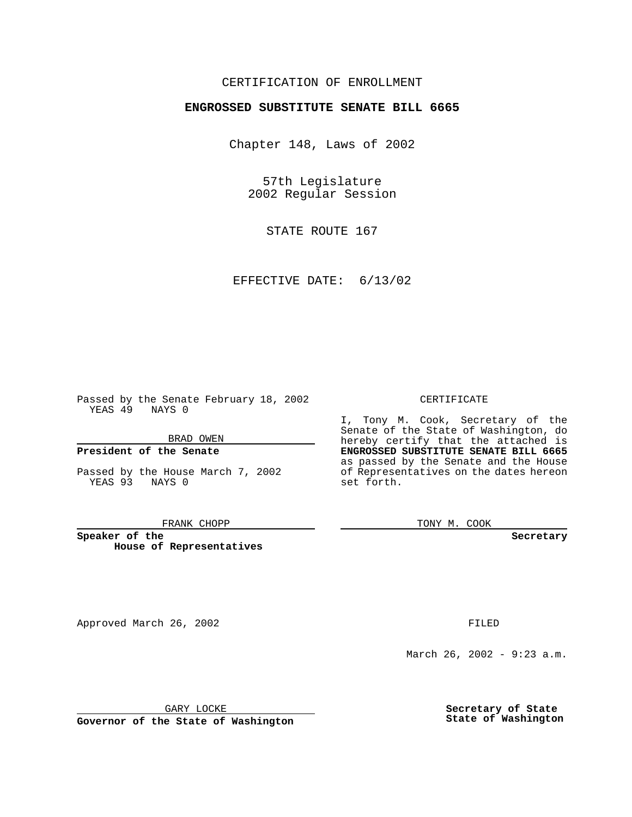### CERTIFICATION OF ENROLLMENT

# **ENGROSSED SUBSTITUTE SENATE BILL 6665**

Chapter 148, Laws of 2002

57th Legislature 2002 Regular Session

STATE ROUTE 167

EFFECTIVE DATE: 6/13/02

Passed by the Senate February 18, 2002 YEAS 49 NAYS 0

BRAD OWEN

### **President of the Senate**

Passed by the House March 7, 2002 YEAS 93 NAYS 0

#### FRANK CHOPP

**Speaker of the House of Representatives**

#### CERTIFICATE

I, Tony M. Cook, Secretary of the Senate of the State of Washington, do hereby certify that the attached is **ENGROSSED SUBSTITUTE SENATE BILL 6665** as passed by the Senate and the House of Representatives on the dates hereon set forth.

TONY M. COOK

**Secretary**

Approved March 26, 2002 **FILED** 

March 26, 2002 - 9:23 a.m.

GARY LOCKE

**Governor of the State of Washington**

**Secretary of State State of Washington**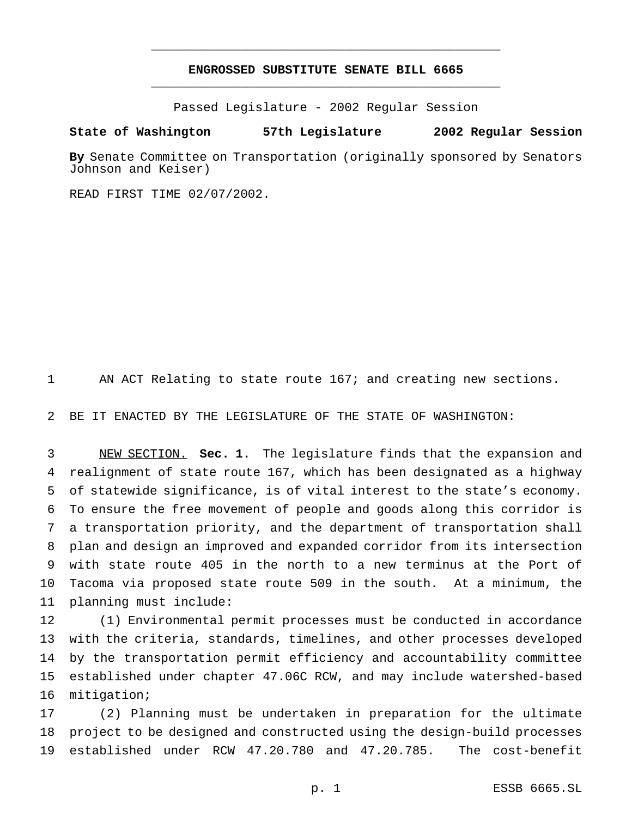## **ENGROSSED SUBSTITUTE SENATE BILL 6665** \_\_\_\_\_\_\_\_\_\_\_\_\_\_\_\_\_\_\_\_\_\_\_\_\_\_\_\_\_\_\_\_\_\_\_\_\_\_\_\_\_\_\_\_\_\_\_

\_\_\_\_\_\_\_\_\_\_\_\_\_\_\_\_\_\_\_\_\_\_\_\_\_\_\_\_\_\_\_\_\_\_\_\_\_\_\_\_\_\_\_\_\_\_\_

Passed Legislature - 2002 Regular Session

### **State of Washington 57th Legislature 2002 Regular Session**

**By** Senate Committee on Transportation (originally sponsored by Senators Johnson and Keiser)

READ FIRST TIME 02/07/2002.

AN ACT Relating to state route 167; and creating new sections.

BE IT ENACTED BY THE LEGISLATURE OF THE STATE OF WASHINGTON:

 NEW SECTION. **Sec. 1.** The legislature finds that the expansion and realignment of state route 167, which has been designated as a highway of statewide significance, is of vital interest to the state's economy. To ensure the free movement of people and goods along this corridor is a transportation priority, and the department of transportation shall plan and design an improved and expanded corridor from its intersection with state route 405 in the north to a new terminus at the Port of Tacoma via proposed state route 509 in the south. At a minimum, the planning must include:

 (1) Environmental permit processes must be conducted in accordance with the criteria, standards, timelines, and other processes developed by the transportation permit efficiency and accountability committee established under chapter 47.06C RCW, and may include watershed-based mitigation;

 (2) Planning must be undertaken in preparation for the ultimate project to be designed and constructed using the design-build processes established under RCW 47.20.780 and 47.20.785. The cost-benefit